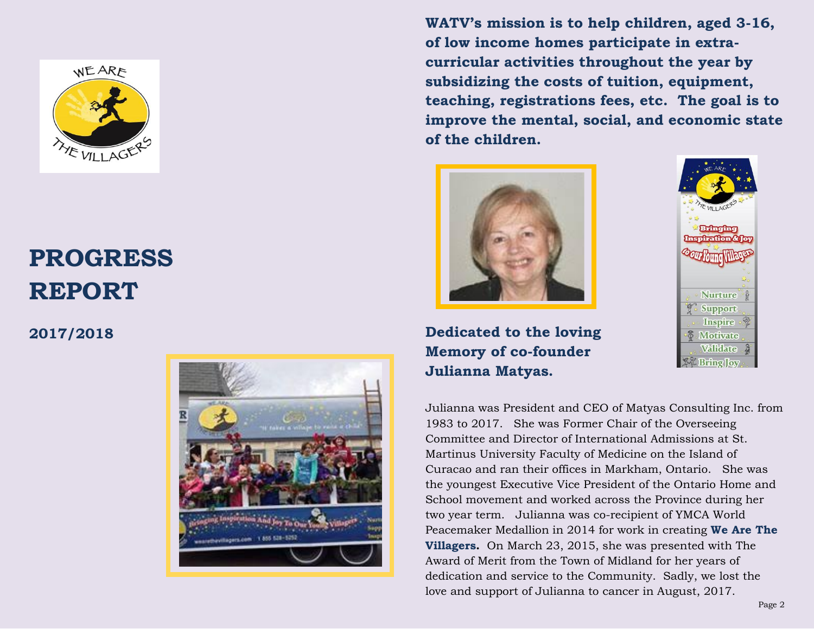

# **PROGRESS REPORT**

**2017/2018**



**WATV's mission is to help children, aged 3-16, of low income homes participate in extracurricular activities throughout the year by subsidizing the costs of tuition, equipment, teaching, registrations fees, etc. The goal is to improve the mental, social, and economic state of the children.**



**Dedicated to the loving Memory of co-founder Julianna Matyas.**



Julianna was President and CEO of Matyas Consulting Inc. from 1983 to 2017. She was Former Chair of the Overseeing Committee and Director of International Admissions at St. Martinus University Faculty of Medicine on the Island of Curacao and ran their offices in Markham, Ontario. She was the youngest Executive Vice President of the Ontario Home and School movement and worked across the Province during her two year term. Julianna was co-recipient of YMCA World Peacemaker Medallion in 2014 for work in creating **We Are The Villagers.** On March 23, 2015, she was presented with The Award of Merit from the Town of Midland for her years of dedication and service to the Community. Sadly, we lost the love and support of Julianna to cancer in August, 2017.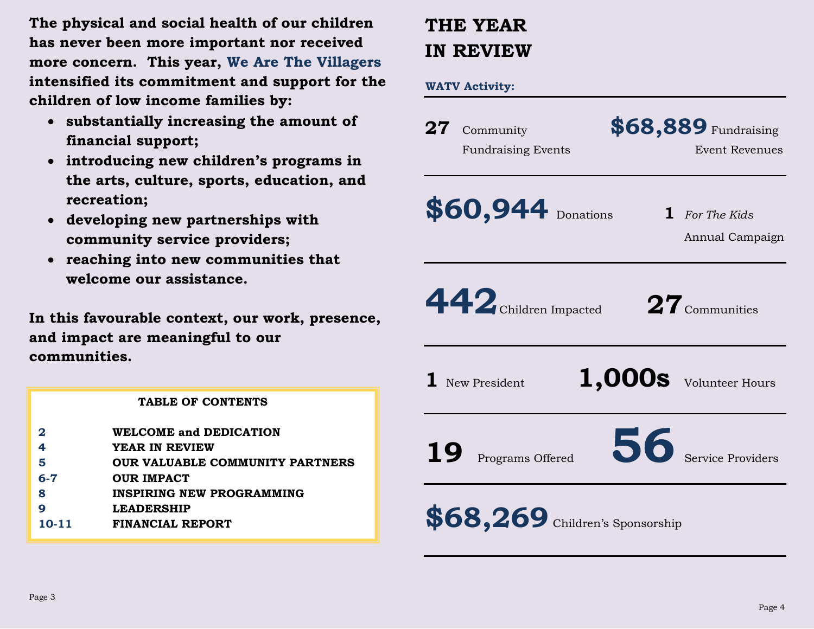**The physical and social health of our children has never been more important nor received more concern. This year, We Are The Villagers intensified its commitment and support for the children of low income families by:** 

- **substantially increasing the amount of financial support;**
- **introducing new children's programs in the arts, culture, sports, education, and recreation;**
- **developing new partnerships with community service providers;**
- **reaching into new communities that welcome our assistance.**

**In this favourable context, our work, presence, and impact are meaningful to our communities.**

|           | <b>TABLE OF CONTENTS</b>         |
|-----------|----------------------------------|
|           | <b>WELCOME and DEDICATION</b>    |
| 4         | YEAR IN REVIEW                   |
| 5         | OUR VALUABLE COMMUNITY PARTNERS  |
| $6 - 7$   | <b>OUR IMPACT</b>                |
| 8         | <b>INSPIRING NEW PROGRAMMING</b> |
|           | <b>LEADERSHIP</b>                |
| $10 - 11$ | FINANCIAL REPORT                 |
|           |                                  |

## **THE YEAR IN REVIEW**

**WATV Activity:**

|           | 27 Community<br><b>Fundraising Events</b> | \$68,889 Fundraising<br><b>Event Revenues</b> |
|-----------|-------------------------------------------|-----------------------------------------------|
|           | \$60,944 Donations                        | <b>1</b> For The Kids<br>Annual Campaign      |
|           | 442 Children Impacted                     | $\mathbf{27}$ Communities                     |
|           | $\mathbf 1$ New President                 | $1,000s$ Volunteer Hours                      |
| <b>19</b> | Programs Offered                          | 56 Service Providers                          |
|           | \$68,269 Children's Sponsorship           |                                               |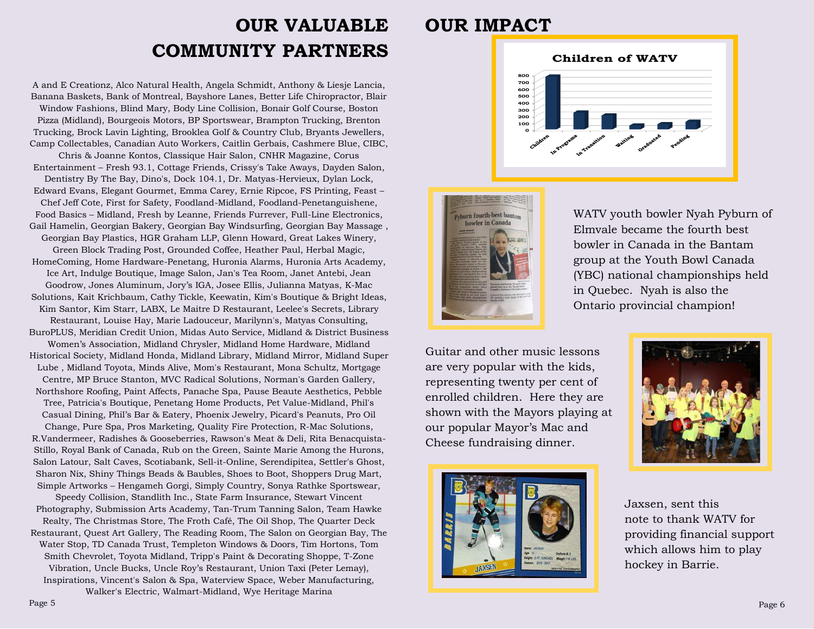### **OUR VALUABLE COMMUNITY PARTNERS**

A and E Creationz, Alco Natural Health, Angela Schmidt, Anthony & Liesje Lancia, Banana Baskets, Bank of Montreal, Bayshore Lanes, Better Life Chiropractor, Blair Window Fashions, Blind Mary, Body Line Collision, Bonair Golf Course, Boston Pizza (Midland), Bourgeois Motors, BP Sportswear, Brampton Trucking, Brenton Trucking, Brock Lavin Lighting, Brooklea Golf & Country Club, Bryants Jewellers, Camp Collectables, Canadian Auto Workers, Caitlin Gerbais, Cashmere Blue, CIBC, Chris & Joanne Kontos, Classique Hair Salon, CNHR Magazine, Corus Entertainment – Fresh 93.1, Cottage Friends, Crissy's Take Aways, Dayden Salon, Dentistry By The Bay, Dino's, Dock 104.1, Dr. Matyas-Hervieux, Dylan Lock, Edward Evans, Elegant Gourmet, Emma Carey, Ernie Ripcoe, FS Printing, Feast – Chef Jeff Cote, First for Safety, Foodland-Midland, Foodland-Penetanguishene, Food Basics – Midland, Fresh by Leanne, Friends Furrever, Full-Line Electronics, Gail Hamelin, Georgian Bakery, Georgian Bay Windsurfing, Georgian Bay Massage , Georgian Bay Plastics, HGR Graham LLP, Glenn Howard, Great Lakes Winery, Green Block Trading Post, Grounded Coffee, Heather Paul, Herbal Magic, HomeComing, Home Hardware-Penetang, Huronia Alarms, Huronia Arts Academy, Ice Art, Indulge Boutique, Image Salon, Jan's Tea Room, Janet Antebi, Jean Goodrow, Jones Aluminum, Jory's IGA, Josee Ellis, Julianna Matyas, K-Mac Solutions, Kait Krichbaum, Cathy Tickle, Keewatin, Kim's Boutique & Bright Ideas, Kim Santor, Kim Starr, LABX, Le Maitre D Restaurant, Leelee's Secrets, Library Restaurant, Louise Hay, Marie Ladouceur, Marilynn's, Matyas Consulting, BuroPLUS, Meridian Credit Union, Midas Auto Service, Midland & District Business Women's Association, Midland Chrysler, Midland Home Hardware, Midland Historical Society, Midland Honda, Midland Library, Midland Mirror, Midland Super Lube , Midland Toyota, Minds Alive, Mom's Restaurant, Mona Schultz, Mortgage Centre, MP Bruce Stanton, MVC Radical Solutions, Norman's Garden Gallery, Northshore Roofing, Paint Affects, Panache Spa, Pause Beaute Aesthetics, Pebble Tree, Patricia's Boutique, Penetang Home Products, Pet Value-Midland, Phil's Casual Dining, Phil's Bar & Eatery, Phoenix Jewelry, Picard's Peanuts, Pro Oil Change, Pure Spa, Pros Marketing, Quality Fire Protection, R-Mac Solutions, R.Vandermeer, Radishes & Gooseberries, Rawson's Meat & Deli, Rita Benacquista-Stillo, Royal Bank of Canada, Rub on the Green, Sainte Marie Among the Hurons, Salon Latour, Salt Caves, Scotiabank, Sell-it-Online, Serendipitea, Settler's Ghost, Sharon Nix, Shiny Things Beads & Baubles, Shoes to Boot, Shoppers Drug Mart,

Simple Artworks – Hengameh Gorgi, Simply Country, Sonya Rathke Sportswear, Speedy Collision, Standlith Inc., State Farm Insurance, Stewart Vincent Photography, Submission Arts Academy, Tan-Trum Tanning Salon, Team Hawke Realty, The Christmas Store, The Froth Café, The Oil Shop, The Quarter Deck Restaurant, Quest Art Gallery, The Reading Room, The Salon on Georgian Bay, The Water Stop, TD Canada Trust, Templeton Windows & Doors, Tim Hortons, Tom Smith Chevrolet, Toyota Midland, Tripp's Paint & Decorating Shoppe, T-Zone Vibration, Uncle Bucks, Uncle Roy's Restaurant, Union Taxi (Peter Lemay), Inspirations, Vincent's Salon & Spa, Waterview Space, Weber Manufacturing, Walker's Electric, Walmart-Midland, Wye Heritage Marina

### **OUR IMPACT**





WATV youth bowler Nyah Pyburn of Elmvale became the fourth best bowler in Canada in the Bantam group at the Youth Bowl Canada (YBC) national championships held in Quebec. Nyah is also the Ontario provincial champion!

Guitar and other music lessons are very popular with the kids, representing twenty per cent of enrolled children. Here they are shown with the Mayors playing at our popular Mayor's Mac and Cheese fundraising dinner.





 Jaxsen, sent this note to thank WATV for providing financial support which allows him to play hockey in Barrie.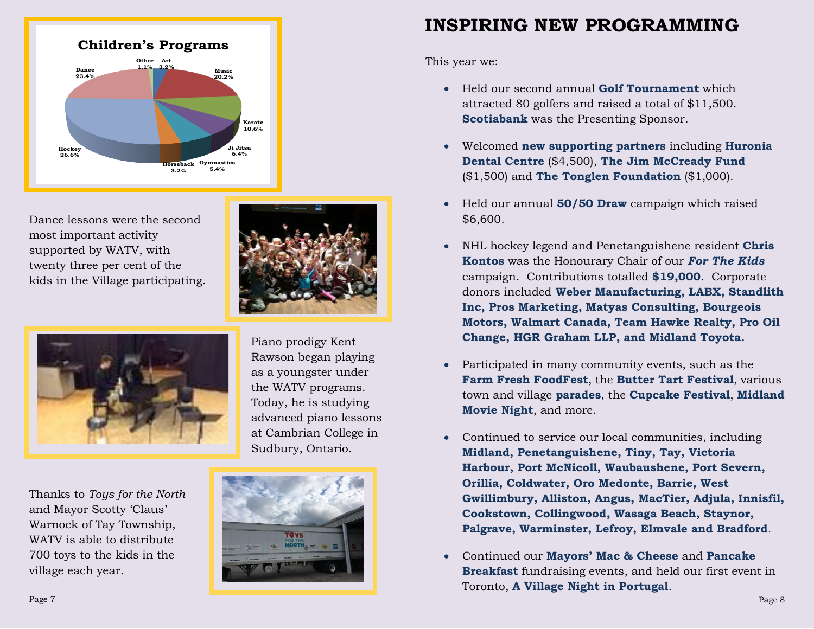

Dance lessons were the second most important activity supported by WATV, with twenty three per cent of the kids in the Village participating.



Thanks to *Toys for the North* and Mayor Scotty 'Claus' Warnock of Tay Township, WATV is able to distribute 700 toys to the kids in the village each year.



Sudbury, Ontario.



This year we:

- Held our second annual **Golf Tournament** which attracted 80 golfers and raised a total of \$11,500. **Scotiabank** was the Presenting Sponsor.
- Welcomed **new supporting partners** including **Huronia Dental Centre** (\$4,500), **The Jim McCready Fund** (\$1,500) and **The Tonglen Foundation** (\$1,000).
- Held our annual **50/50 Draw** campaign which raised \$6,600.
- NHL hockey legend and Penetanguishene resident **Chris Kontos** was the Honourary Chair of our *For The Kids* campaign. Contributions totalled **\$19,000**. Corporate donors included **Weber Manufacturing, LABX, Standlith Inc, Pros Marketing, Matyas Consulting, Bourgeois Motors, Walmart Canada, Team Hawke Realty, Pro Oil Change, HGR Graham LLP, and Midland Toyota.**
- Participated in many community events, such as the **Farm Fresh FoodFest**, the **Butter Tart Festival**, various town and village **parades**, the **Cupcake Festival**, **Midland Movie Night**, and more.
- Continued to service our local communities, including **Midland, Penetanguishene, Tiny, Tay, Victoria Harbour, Port McNicoll, Waubaushene, Port Severn, Orillia, Coldwater, Oro Medonte, Barrie, West Gwillimbury, Alliston, Angus, MacTier, Adjula, Innisfil, Cookstown, Collingwood, Wasaga Beach, Staynor, Palgrave, Warminster, Lefroy, Elmvale and Bradford**.
- Continued our **Mayors' Mac & Cheese** and **Pancake Breakfast** fundraising events, and held our first event in Toronto, **A Village Night in Portugal**.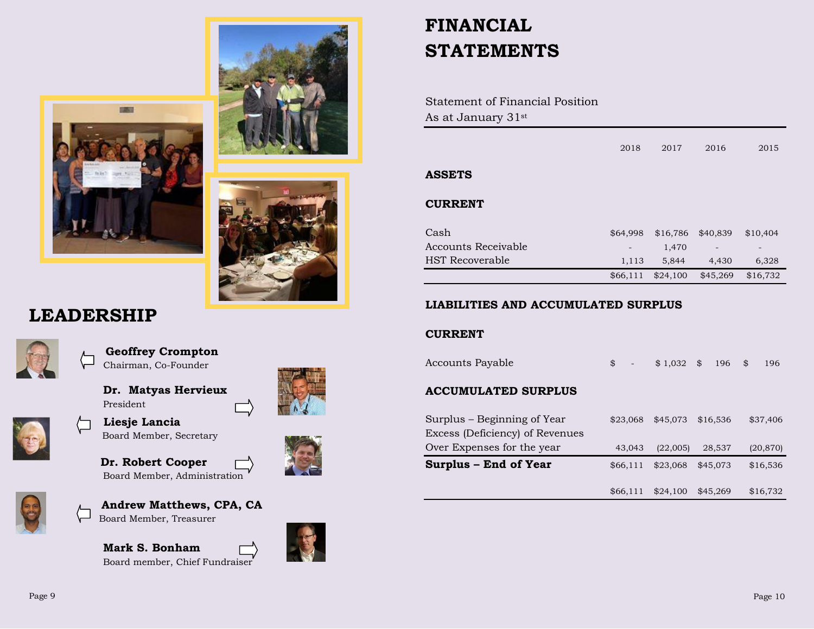

### **LEADERSHIP**



 **Geoffrey Crompton** Chairman, Co-Founder

**Dr. Matyas Hervieux**



 **Liesje Lancia** Board Member, Secretary

President

 **Dr. Robert Cooper** Board Member, Administration



 **Andrew Matthews, CPA, CA** Board Member, Treasurer

**Mark S. Bonham** Board member, Chief Fundraiser





### **FINANCIAL STATEMENTS**

Statement of Financial Position As at January 31st

|                            | 2018     | 2017     | 2016     | 2015     |
|----------------------------|----------|----------|----------|----------|
| <b>ASSETS</b>              |          |          |          |          |
| <b>CURRENT</b>             |          |          |          |          |
| Cash                       | \$64,998 | \$16,786 | \$40,839 | \$10,404 |
| <b>Accounts Receivable</b> |          | 1,470    |          |          |
| HST Recoverable            | 1,113    | 5,844    | 4,430    | 6,328    |
|                            | \$66,111 | \$24,100 | \$45,269 | \$16,732 |
|                            |          |          |          |          |

#### **LIABILITIES AND ACCUMULATED SURPLUS**

#### **CURRENT**

| Surplus – End of Year           | \$66,111     | \$23,068    | \$45,073 | \$16,536  |
|---------------------------------|--------------|-------------|----------|-----------|
| Over Expenses for the year      | 43,043       | (22,005)    | 28,537   | (20, 870) |
| Excess (Deficiency) of Revenues |              |             |          |           |
| Surplus – Beginning of Year     | \$23,068     | \$45,073    | \$16,536 | \$37,406  |
| <b>ACCUMULATED SURPLUS</b>      |              |             |          |           |
| Accounts Payable                | $\mathbb{S}$ | $$1,032$ \$ | 196      | \$<br>196 |

\$66,111 \$24,100 \$45,269 \$16,732